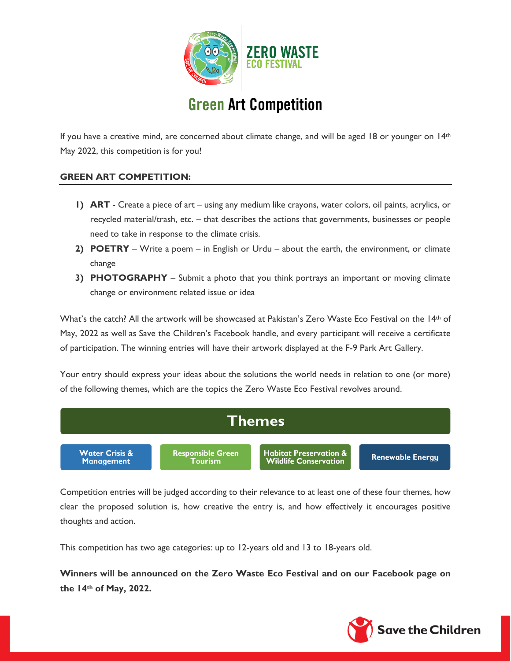

# Green Art Competition

If you have a creative mind, are concerned about climate change, and will be aged 18 or younger on 14th May 2022, this competition is for you!

# **GREEN ART COMPETITION:**

- **1) ART** Create a piece of art using any medium like crayons, water colors, oil paints, acrylics, or recycled material/trash, etc. – that describes the actions that governments, businesses or people need to take in response to the climate crisis.
- **2) POETRY** Write a poem in English or Urdu about the earth, the environment, or climate change
- **3) PHOTOGRAPHY**  Submit a photo that you think portrays an important or moving climate change or environment related issue or idea

What's the catch? All the artwork will be showcased at Pakistan's Zero Waste Eco Festival on the 14th of May, 2022 as well as Save the Children's Facebook handle, and every participant will receive a certificate of participation. The winning entries will have their artwork displayed at the F-9 Park Art Gallery.

Your entry should express your ideas about the solutions the world needs in relation to one (or more) of the following themes, which are the topics the Zero Waste Eco Festival revolves around.



clear the proposed solution is, how creative the entry is, and how effectively it encourages positive thoughts and action.

This competition has two age categories: up to 12-years old and 13 to 18-years old.

**Winners will be announced on the Zero Waste Eco Festival and on our Facebook page on the 14th of May, 2022.** 

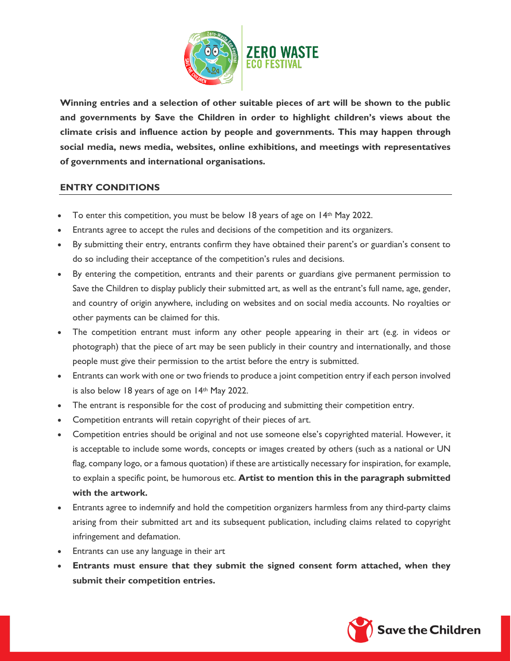

**Winning entries and a selection of other suitable pieces of art will be shown to the public and governments by Save the Children in order to highlight children's views about the climate crisis and influence action by people and governments. This may happen through social media, news media, websites, online exhibitions, and meetings with representatives of governments and international organisations.** 

# **ENTRY CONDITIONS**

- To enter this competition, you must be below 18 years of age on 14th May 2022.
- Entrants agree to accept the rules and decisions of the competition and its organizers.
- By submitting their entry, entrants confirm they have obtained their parent's or guardian's consent to do so including their acceptance of the competition's rules and decisions.
- By entering the competition, entrants and their parents or guardians give permanent permission to Save the Children to display publicly their submitted art, as well as the entrant's full name, age, gender, and country of origin anywhere, including on websites and on social media accounts. No royalties or other payments can be claimed for this.
- The competition entrant must inform any other people appearing in their art (e.g. in videos or photograph) that the piece of art may be seen publicly in their country and internationally, and those people must give their permission to the artist before the entry is submitted.
- Entrants can work with one or two friends to produce a joint competition entry if each person involved is also below 18 years of age on 14th May 2022.
- The entrant is responsible for the cost of producing and submitting their competition entry.
- Competition entrants will retain copyright of their pieces of art.
- Competition entries should be original and not use someone else's copyrighted material. However, it is acceptable to include some words, concepts or images created by others (such as a national or UN flag, company logo, or a famous quotation) if these are artistically necessary for inspiration, for example, to explain a specific point, be humorous etc. **Artist to mention this in the paragraph submitted with the artwork.**
- Entrants agree to indemnify and hold the competition organizers harmless from any third-party claims arising from their submitted art and its subsequent publication, including claims related to copyright infringement and defamation.
- Entrants can use any language in their art
- **Entrants must ensure that they submit the signed consent form attached, when they submit their competition entries.**

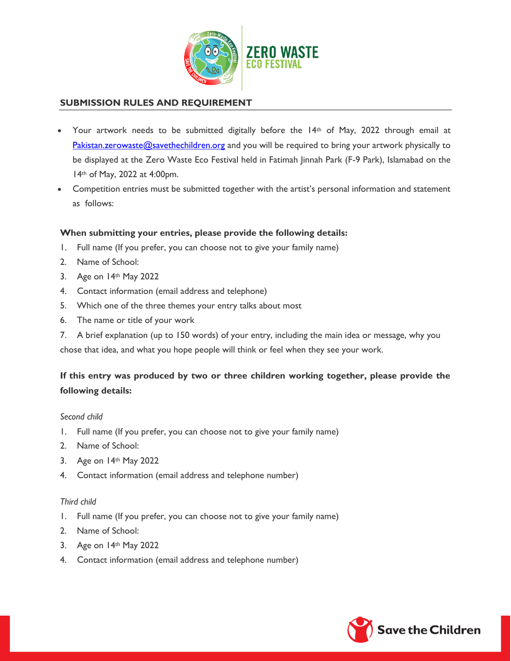

### **SUBMISSION RULES AND REQUIREMENT**

- Your artwork needs to be submitted digitally before the  $14<sup>th</sup>$  of May, 2022 through email at [Pakistan.zerowaste@savethechildren.org](mailto:Pakistan.zerowaste@savethechildren.org) and you will be required to bring your artwork physically to be displayed at the Zero Waste Eco Festival held in Fatimah Jinnah Park (F-9 Park), Islamabad on the 14th of May, 2022 at 4:00pm.
- Competition entries must be submitted together with the artist's personal information and statement as follows:

#### **When submitting your entries, please provide the following details:**

- 1. Full name (If you prefer, you can choose not to give your family name)
- 2. Name of School:
- 3. Age on 14th May 2022
- 4. Contact information (email address and telephone)
- 5. Which one of the three themes your entry talks about most
- 6. The name or title of your work
- 7. A brief explanation (up to 150 words) of your entry, including the main idea or message, why you

chose that idea, and what you hope people will think or feel when they see your work.

# **If this entry was produced by two or three children working together, please provide the following details:**

#### *Second child*

- 1. Full name (If you prefer, you can choose not to give your family name)
- 2. Name of School:
- 3. Age on 14th May 2022
- 4. Contact information (email address and telephone number)

#### *Third child*

- 1. Full name (If you prefer, you can choose not to give your family name)
- 2. Name of School:
- 3. Age on 14th May 2022
- 4. Contact information (email address and telephone number)